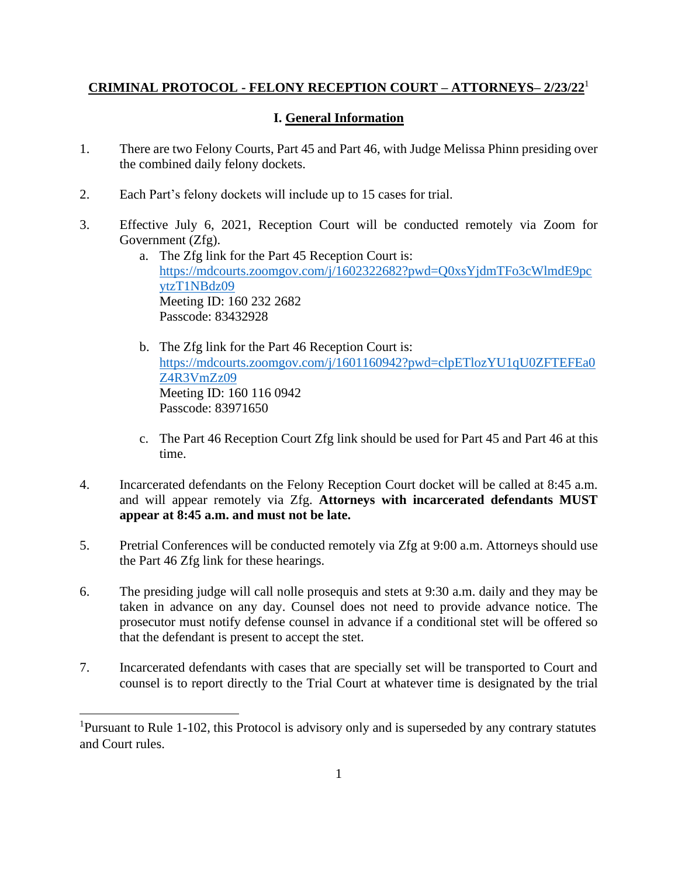## **CRIMINAL PROTOCOL - FELONY RECEPTION COURT – ATTORNEYS– 2/23/22**<sup>1</sup>

## **I. General Information**

- 1. There are two Felony Courts, Part 45 and Part 46, with Judge Melissa Phinn presiding over the combined daily felony dockets.
- 2. Each Part's felony dockets will include up to 15 cases for trial.
- 3. Effective July 6, 2021, Reception Court will be conducted remotely via Zoom for Government (Zfg).
	- a. The Zfg link for the Part 45 Reception Court is: [https://mdcourts.zoomgov.com/j/1602322682?pwd=Q0xsYjdmTFo3cWlmdE9pc](https://mdcourts.zoomgov.com/j/1602322682?pwd=Q0xsYjdmTFo3cWlmdE9pcytzT1NBdz09) [ytzT1NBdz09](https://mdcourts.zoomgov.com/j/1602322682?pwd=Q0xsYjdmTFo3cWlmdE9pcytzT1NBdz09) Meeting ID: 160 232 2682 Passcode: 83432928
	- b. The Zfg link for the Part 46 Reception Court is: [https://mdcourts.zoomgov.com/j/1601160942?pwd=clpETlozYU1qU0ZFTEFEa0](https://mdcourts.zoomgov.com/j/1601160942?pwd=clpETlozYU1qU0ZFTEFEa0Z4R3VmZz09) [Z4R3VmZz09](https://mdcourts.zoomgov.com/j/1601160942?pwd=clpETlozYU1qU0ZFTEFEa0Z4R3VmZz09) Meeting ID: 160 116 0942 Passcode: 83971650
	- c. The Part 46 Reception Court Zfg link should be used for Part 45 and Part 46 at this time.
- 4. Incarcerated defendants on the Felony Reception Court docket will be called at 8:45 a.m. and will appear remotely via Zfg. **Attorneys with incarcerated defendants MUST appear at 8:45 a.m. and must not be late.**
- 5. Pretrial Conferences will be conducted remotely via Zfg at 9:00 a.m. Attorneys should use the Part 46 Zfg link for these hearings.
- 6. The presiding judge will call nolle prosequis and stets at 9:30 a.m. daily and they may be taken in advance on any day. Counsel does not need to provide advance notice. The prosecutor must notify defense counsel in advance if a conditional stet will be offered so that the defendant is present to accept the stet.
- 7. Incarcerated defendants with cases that are specially set will be transported to Court and counsel is to report directly to the Trial Court at whatever time is designated by the trial

<sup>&</sup>lt;sup>1</sup>Pursuant to Rule 1-102, this Protocol is advisory only and is superseded by any contrary statutes and Court rules.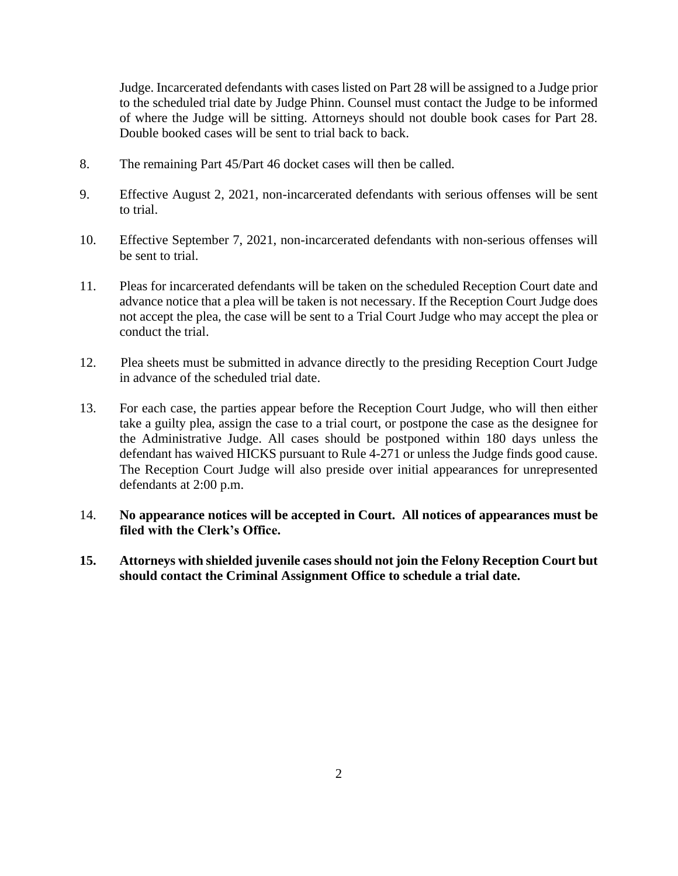Judge. Incarcerated defendants with cases listed on Part 28 will be assigned to a Judge prior to the scheduled trial date by Judge Phinn. Counsel must contact the Judge to be informed of where the Judge will be sitting. Attorneys should not double book cases for Part 28. Double booked cases will be sent to trial back to back.

- 8. The remaining Part 45/Part 46 docket cases will then be called.
- 9. Effective August 2, 2021, non-incarcerated defendants with serious offenses will be sent to trial.
- 10. Effective September 7, 2021, non-incarcerated defendants with non-serious offenses will be sent to trial.
- 11. Pleas for incarcerated defendants will be taken on the scheduled Reception Court date and advance notice that a plea will be taken is not necessary. If the Reception Court Judge does not accept the plea, the case will be sent to a Trial Court Judge who may accept the plea or conduct the trial.
- 12. Plea sheets must be submitted in advance directly to the presiding Reception Court Judge in advance of the scheduled trial date.
- 13. For each case, the parties appear before the Reception Court Judge, who will then either take a guilty plea, assign the case to a trial court, or postpone the case as the designee for the Administrative Judge. All cases should be postponed within 180 days unless the defendant has waived HICKS pursuant to Rule 4-271 or unless the Judge finds good cause. The Reception Court Judge will also preside over initial appearances for unrepresented defendants at 2:00 p.m.
- 14. **No appearance notices will be accepted in Court. All notices of appearances must be filed with the Clerk's Office.**
- **15. Attorneys with shielded juvenile cases should not join the Felony Reception Court but should contact the Criminal Assignment Office to schedule a trial date.**